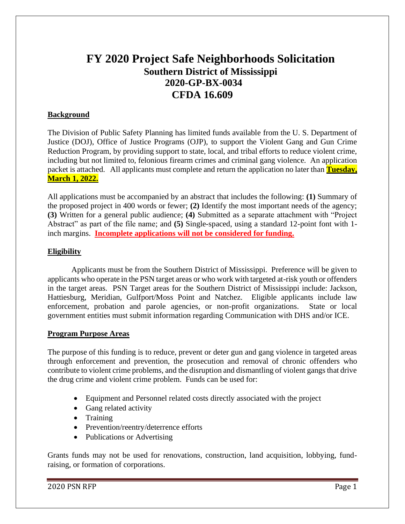# **FY 2020 Project Safe Neighborhoods Solicitation Southern District of Mississippi 2020-GP-BX-0034 CFDA 16.609**

# **Background**

The Division of Public Safety Planning has limited funds available from the U. S. Department of Justice (DOJ), Office of Justice Programs (OJP), to support the Violent Gang and Gun Crime Reduction Program, by providing support to state, local, and tribal efforts to reduce violent crime, including but not limited to, felonious firearm crimes and criminal gang violence. An application packet is attached. All applicants must complete and return the application no later than **Tuesday, March 1, 2022.**

All applications must be accompanied by an abstract that includes the following: **(1)** Summary of the proposed project in 400 words or fewer; **(2)** Identify the most important needs of the agency; **(3)** Written for a general public audience; **(4)** Submitted as a separate attachment with "Project Abstract" as part of the file name; and **(5)** Single-spaced, using a standard 12-point font with 1 inch margins. **Incomplete applications will not be considered for funding.**

#### **Eligibility**

Applicants must be from the Southern District of Mississippi. Preference will be given to applicants who operate in the PSN target areas or who work with targeted at-risk youth or offenders in the target areas. PSN Target areas for the Southern District of Mississippi include: Jackson, Hattiesburg, Meridian, Gulfport/Moss Point and Natchez. Eligible applicants include law enforcement, probation and parole agencies, or non-profit organizations. State or local government entities must submit information regarding Communication with DHS and/or ICE.

#### **Program Purpose Areas**

The purpose of this funding is to reduce, prevent or deter gun and gang violence in targeted areas through enforcement and prevention, the prosecution and removal of chronic offenders who contribute to violent crime problems, and the disruption and dismantling of violent gangs that drive the drug crime and violent crime problem. Funds can be used for:

- Equipment and Personnel related costs directly associated with the project
- Gang related activity
- Training
- Prevention/reentry/deterrence efforts
- Publications or Advertising

Grants funds may not be used for renovations, construction, land acquisition, lobbying, fundraising, or formation of corporations.

2020 PSN RFP Page 1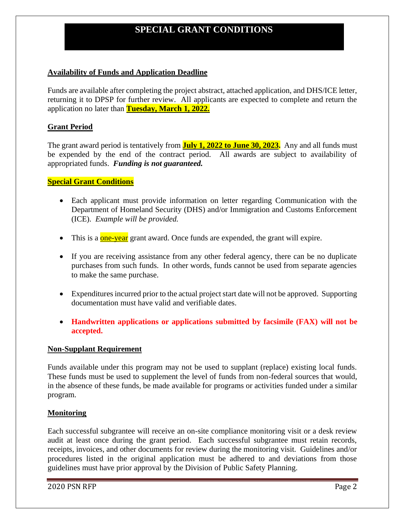# **SPECIAL GRANT CONDITIONS**

#### **Availability of Funds and Application Deadline**

Funds are available after completing the project abstract, attached application, and DHS/ICE letter, returning it to DPSP for further review. All applicants are expected to complete and return the application no later than **Tuesday, March 1, 2022.**

# **Grant Period**

The grant award period is tentatively from **July 1, 2022 to June 30, 2023.** Any and all funds must be expended by the end of the contract period. All awards are subject to availability of appropriated funds. *Funding is not guaranteed.*

#### **Special Grant Conditions**

- Each applicant must provide information on letter regarding Communication with the Department of Homeland Security (DHS) and/or Immigration and Customs Enforcement (ICE). *Example will be provided.*
- This is a  $one-year$  grant award. Once funds are expended, the grant will expire.
- If you are receiving assistance from any other federal agency, there can be no duplicate purchases from such funds. In other words, funds cannot be used from separate agencies to make the same purchase.
- Expenditures incurred prior to the actual project start date will not be approved. Supporting documentation must have valid and verifiable dates.
- **Handwritten applications or applications submitted by facsimile (FAX) will not be accepted.**

#### **Non-Supplant Requirement**

Funds available under this program may not be used to supplant (replace) existing local funds. These funds must be used to supplement the level of funds from non-federal sources that would, in the absence of these funds, be made available for programs or activities funded under a similar program.

#### **Monitoring**

Each successful subgrantee will receive an on-site compliance monitoring visit or a desk review audit at least once during the grant period. Each successful subgrantee must retain records, receipts, invoices, and other documents for review during the monitoring visit. Guidelines and/or procedures listed in the original application must be adhered to and deviations from those guidelines must have prior approval by the Division of Public Safety Planning.